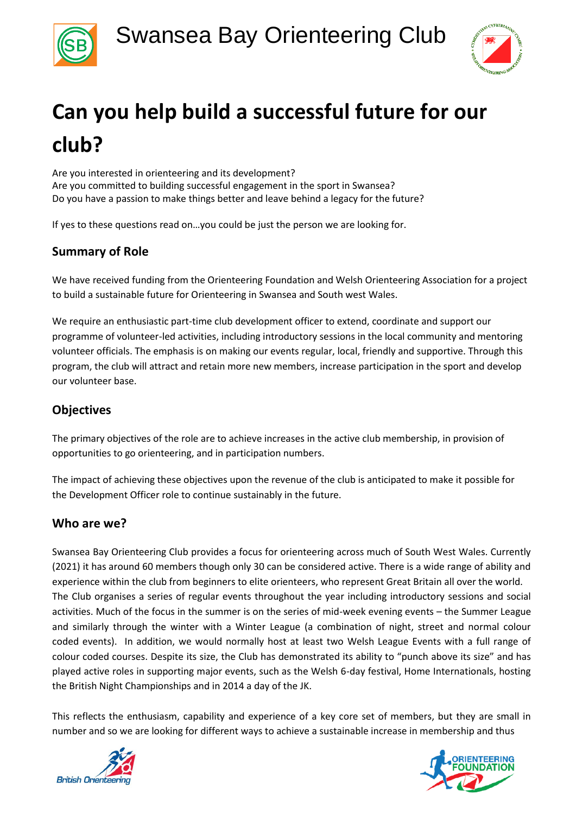



# **Can you help build a successful future for our club?**

Are you interested in orienteering and its development? Are you committed to building successful engagement in the sport in Swansea? Do you have a passion to make things better and leave behind a legacy for the future?

If yes to these questions read on…you could be just the person we are looking for.

## **Summary of Role**

We have received funding from the Orienteering Foundation and Welsh Orienteering Association for a project to build a sustainable future for Orienteering in Swansea and South west Wales.

We require an enthusiastic part-time club development officer to extend, coordinate and support our programme of volunteer-led activities, including introductory sessions in the local community and mentoring volunteer officials. The emphasis is on making our events regular, local, friendly and supportive. Through this program, the club will attract and retain more new members, increase participation in the sport and develop our volunteer base.

## **Objectives**

The primary objectives of the role are to achieve increases in the active club membership, in provision of opportunities to go orienteering, and in participation numbers.

The impact of achieving these objectives upon the revenue of the club is anticipated to make it possible for the Development Officer role to continue sustainably in the future.

## **Who are we?**

Swansea Bay Orienteering Club provides a focus for orienteering across much of South West Wales. Currently (2021) it has around 60 members though only 30 can be considered active. There is a wide range of ability and experience within the club from beginners to elite orienteers, who represent Great Britain all over the world. The Club organises a series of regular events throughout the year including introductory sessions and social activities. Much of the focus in the summer is on the series of mid-week evening events – the Summer League and similarly through the winter with a Winter League (a combination of night, street and normal colour coded events). In addition, we would normally host at least two Welsh League Events with a full range of colour coded courses. Despite its size, the Club has demonstrated its ability to "punch above its size" and has played active roles in supporting major events, such as the Welsh 6-day festival, Home Internationals, hosting the British Night Championships and in 2014 a day of the JK.

This reflects the enthusiasm, capability and experience of a key core set of members, but they are small in number and so we are looking for different ways to achieve a sustainable increase in membership and thus